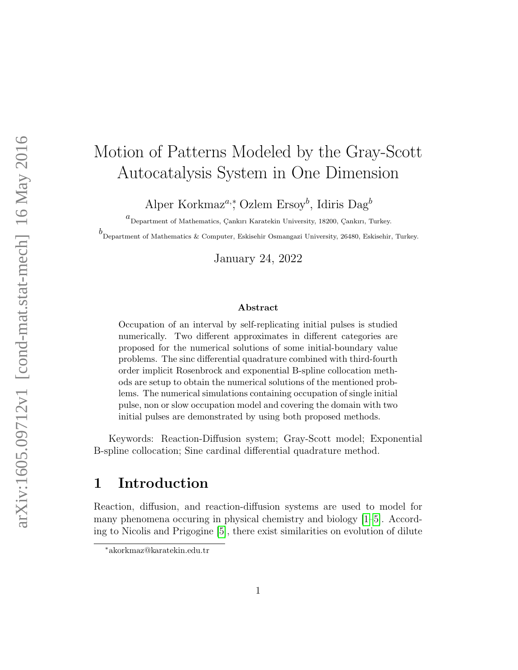# Motion of Patterns Modeled by the Gray-Scott Autocatalysis System in One Dimension

Alper Korkmaz<sup>a,\*</sup>, Ozlem Ersoy<sup>b</sup>, Idiris Dag<sup>b</sup>

 $a$ Department of Mathematics, Çankırı Karatekin University, 18200, Çankırı, Turkey.

b Department of Mathematics & Computer, Eskisehir Osmangazi University, 26480, Eskisehir, Turkey.

January 24, 2022

#### Abstract

Occupation of an interval by self-replicating initial pulses is studied numerically. Two different approximates in different categories are proposed for the numerical solutions of some initial-boundary value problems. The sinc differential quadrature combined with third-fourth order implicit Rosenbrock and exponential B-spline collocation methods are setup to obtain the numerical solutions of the mentioned problems. The numerical simulations containing occupation of single initial pulse, non or slow occupation model and covering the domain with two initial pulses are demonstrated by using both proposed methods.

Keywords: Reaction-Diffusion system; Gray-Scott model; Exponential B-spline collocation; Sine cardinal differential quadrature method.

### 1 Introduction

Reaction, diffusion, and reaction-diffusion systems are used to model for many phenomena occuring in physical chemistry and biology [\[1–](#page-18-0)[5\]](#page-18-1). According to Nicolis and Prigogine [\[5\]](#page-18-1), there exist similarities on evolution of dilute

<sup>∗</sup>akorkmaz@karatekin.edu.tr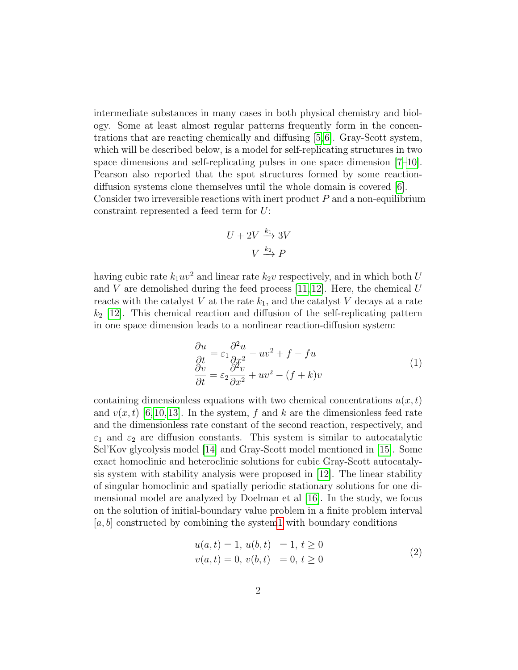intermediate substances in many cases in both physical chemistry and biology. Some at least almost regular patterns frequently form in the concentrations that are reacting chemically and diffusing [\[5,](#page-18-1)[6\]](#page-18-2). Gray-Scott system, which will be described below, is a model for self-replicating structures in two space dimensions and self-replicating pulses in one space dimension [\[7](#page-18-3)[–10\]](#page-19-0). Pearson also reported that the spot structures formed by some reactiondiffusion systems clone themselves until the whole domain is covered [\[6\]](#page-18-2). Consider two irreversible reactions with inert product  $P$  and a non-equilibrium constraint represented a feed term for U:

<span id="page-1-0"></span>
$$
U + 2V \xrightarrow{k_1} 3V
$$

$$
V \xrightarrow{k_2} P
$$

having cubic rate  $k_1uv^2$  and linear rate  $k_2v$  respectively, and in which both U and  $V$  are demolished during the feed process [\[11,](#page-19-1)[12\]](#page-19-2). Here, the chemical  $U$ reacts with the catalyst V at the rate  $k_1$ , and the catalyst V decays at a rate  $k_2$  [\[12\]](#page-19-2). This chemical reaction and diffusion of the self-replicating pattern in one space dimension leads to a nonlinear reaction-diffusion system:

$$
\begin{aligned}\n\frac{\partial u}{\partial t} &= \varepsilon_1 \frac{\partial^2 u}{\partial x^2} - uv^2 + f - fu \\
\frac{\partial v}{\partial t} &= \varepsilon_2 \frac{\partial^2 v}{\partial x^2} + uv^2 - (f + k)v\n\end{aligned} \tag{1}
$$

containing dimensionless equations with two chemical concentrations  $u(x, t)$ and  $v(x, t)$  [\[6,](#page-18-2)[10,](#page-19-0)[13\]](#page-19-3). In the system, f and k are the dimensionless feed rate and the dimensionless rate constant of the second reaction, respectively, and  $\varepsilon_1$  and  $\varepsilon_2$  are diffusion constants. This system is similar to autocatalytic Sel'Kov glycolysis model [\[14\]](#page-19-4) and Gray-Scott model mentioned in [\[15\]](#page-19-5). Some exact homoclinic and heteroclinic solutions for cubic Gray-Scott autocatalysis system with stability analysis were proposed in [\[12\]](#page-19-2). The linear stability of singular homoclinic and spatially periodic stationary solutions for one dimensional model are analyzed by Doelman et al [\[16\]](#page-19-6). In the study, we focus on the solution of initial-boundary value problem in a finite problem interval  $[a, b]$  constructed by combining the syste[m1](#page-1-0) with boundary conditions

<span id="page-1-1"></span>
$$
u(a,t) = 1, u(b,t) = 1, t \ge 0v(a,t) = 0, v(b,t) = 0, t \ge 0
$$
\n(2)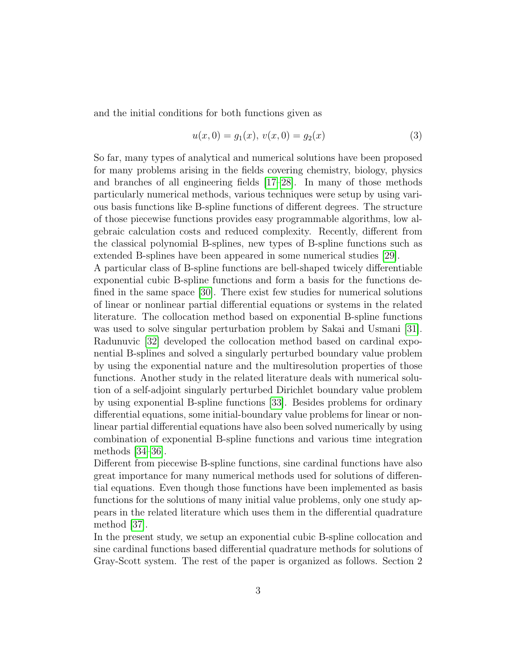and the initial conditions for both functions given as

$$
u(x,0) = g_1(x), v(x,0) = g_2(x)
$$
\n(3)

So far, many types of analytical and numerical solutions have been proposed for many problems arising in the fields covering chemistry, biology, physics and branches of all engineering fields [\[17–](#page-19-7)[28\]](#page-20-0). In many of those methods particularly numerical methods, various techniques were setup by using various basis functions like B-spline functions of different degrees. The structure of those piecewise functions provides easy programmable algorithms, low algebraic calculation costs and reduced complexity. Recently, different from the classical polynomial B-splines, new types of B-spline functions such as extended B-splines have been appeared in some numerical studies [\[29\]](#page-20-1).

A particular class of B-spline functions are bell-shaped twicely differentiable exponential cubic B-spline functions and form a basis for the functions defined in the same space [\[30\]](#page-21-0). There exist few studies for numerical solutions of linear or nonlinear partial differential equations or systems in the related literature. The collocation method based on exponential B-spline functions was used to solve singular perturbation problem by Sakai and Usmani [\[31\]](#page-21-1). Radunuvic [\[32\]](#page-21-2) developed the collocation method based on cardinal exponential B-splines and solved a singularly perturbed boundary value problem by using the exponential nature and the multiresolution properties of those functions. Another study in the related literature deals with numerical solution of a self-adjoint singularly perturbed Dirichlet boundary value problem by using exponential B-spline functions [\[33\]](#page-21-3). Besides problems for ordinary differential equations, some initial-boundary value problems for linear or nonlinear partial differential equations have also been solved numerically by using combination of exponential B-spline functions and various time integration methods [\[34–](#page-21-4)[36\]](#page-21-5).

Different from piecewise B-spline functions, sine cardinal functions have also great importance for many numerical methods used for solutions of differential equations. Even though those functions have been implemented as basis functions for the solutions of many initial value problems, only one study appears in the related literature which uses them in the differential quadrature method [\[37\]](#page-21-6).

In the present study, we setup an exponential cubic B-spline collocation and sine cardinal functions based differential quadrature methods for solutions of Gray-Scott system. The rest of the paper is organized as follows. Section 2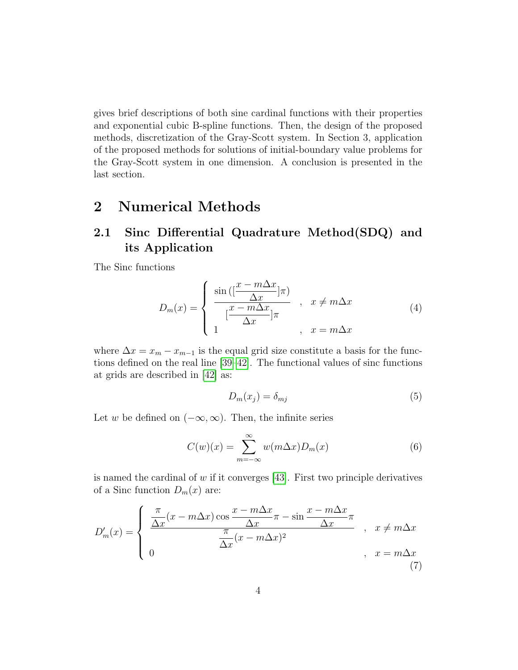gives brief descriptions of both sine cardinal functions with their properties and exponential cubic B-spline functions. Then, the design of the proposed methods, discretization of the Gray-Scott system. In Section 3, application of the proposed methods for solutions of initial-boundary value problems for the Gray-Scott system in one dimension. A conclusion is presented in the last section.

### 2 Numerical Methods

### 2.1 Sinc Differential Quadrature Method(SDQ) and its Application

The Sinc functions

$$
D_m(x) = \begin{cases} \frac{\sin\left(\left[\frac{x-m\Delta x}{\Delta x}\right]\pi\right)}{\left[\frac{x-m\Delta x}{\Delta x}\right]\pi} , & x \neq m\Delta x\\ 1, & x = m\Delta x \end{cases} \tag{4}
$$

where  $\Delta x = x_m - x_{m-1}$  is the equal grid size constitute a basis for the functions defined on the real line [\[39](#page-21-7)[–42\]](#page-22-0). The functional values of sinc functions at grids are described in [\[42\]](#page-22-0) as:

$$
D_m(x_j) = \delta_{mj} \tag{5}
$$

Let w be defined on  $(-\infty, \infty)$ . Then, the infinite series

<span id="page-3-0"></span>
$$
C(w)(x) = \sum_{m = -\infty}^{\infty} w(m\Delta x) D_m(x)
$$
 (6)

is named the cardinal of  $w$  if it converges [\[43\]](#page-22-1). First two principle derivatives of a Sinc function  $D_m(x)$  are:

$$
D'_{m}(x) = \begin{cases} \frac{\pi}{\Delta x}(x - m\Delta x) \cos\frac{x - m\Delta x}{\Delta x}\pi - \sin\frac{x - m\Delta x}{\Delta x}\pi\\ 0 & \frac{\pi}{\Delta x}(x - m\Delta x)^{2} \end{cases}, \quad x \neq m\Delta x
$$
\n
$$
(7)
$$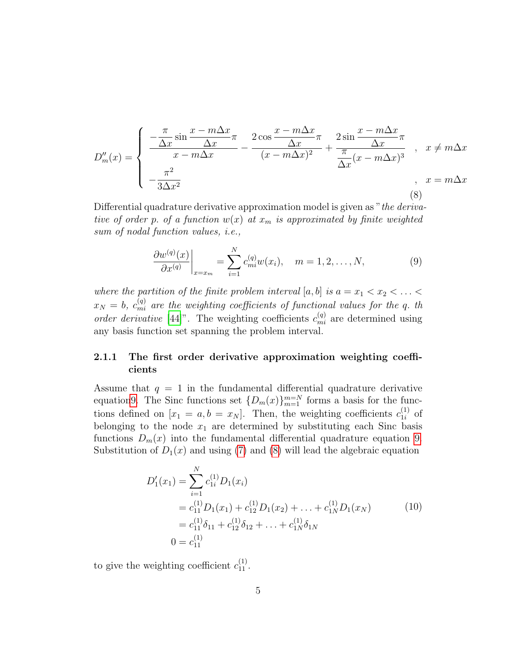<span id="page-4-1"></span>
$$
D''_m(x) = \begin{cases} \frac{-\frac{\pi}{\Delta x} \sin \frac{x - m\Delta x}{\Delta x}}{x - m\Delta x} - \frac{2\cos \frac{x - m\Delta x}{\Delta x}}{(x - m\Delta x)^2} + \frac{2\sin \frac{x - m\Delta x}{\Delta x}}{\frac{\pi}{\Delta x}(x - m\Delta x)^3}, & x \neq m\Delta x \\ -\frac{\pi^2}{3\Delta x^2}, & x = m\Delta x \end{cases}
$$
(8)

Differential quadrature derivative approximation model is given as "the derivative of order p. of a function  $w(x)$  at  $x_m$  is approximated by finite weighted sum of nodal function values, i.e.,

<span id="page-4-0"></span>
$$
\left. \frac{\partial w^{(q)}(x)}{\partial x^{(q)}} \right|_{x=x_m} = \sum_{i=1}^N c_{mi}^{(q)} w(x_i), \quad m = 1, 2, \dots, N,
$$
\n(9)

where the partition of the finite problem interval  $[a, b]$  is  $a = x_1 < x_2 < \ldots <$  $x_N = b$ ,  $c_{mi}^{(q)}$  are the weighting coefficients of functional values for the q. th order derivative [\[44\]](#page-22-2)". The weighting coefficients  $c_{mi}^{(q)}$  are determined using any basis function set spanning the problem interval.

#### 2.1.1 The first order derivative approximation weighting coefficients

Assume that  $q = 1$  in the fundamental differential quadrature derivative equatio[n9.](#page-4-0) The Sinc functions set  $\{D_m(x)\}_{m=1}^{m=N}$  forms a basis for the functions defined on  $[x_1 = a, b = x_N]$ . Then, the weighting coefficients  $c_{1i}^{(1)}$  $i^{(1)}$  of belonging to the node  $x_1$  are determined by substituting each Sinc basis functions  $D_m(x)$  into the fundamental differential quadrature equation [9.](#page-4-0) Substitution of  $D_1(x)$  and using [\(7\)](#page-3-0) and [\(8\)](#page-4-1) will lead the algebraic equation

$$
D'_{1}(x_{1}) = \sum_{i=1}^{N} c_{1i}^{(1)} D_{1}(x_{i})
$$
  
=  $c_{11}^{(1)} D_{1}(x_{1}) + c_{12}^{(1)} D_{1}(x_{2}) + \ldots + c_{1N}^{(1)} D_{1}(x_{N})$  (10)  
=  $c_{11}^{(1)} \delta_{11} + c_{12}^{(1)} \delta_{12} + \ldots + c_{1N}^{(1)} \delta_{1N}$   

$$
0 = c_{11}^{(1)}
$$

to give the weighting coefficient  $c_{11}^{(1)}$ .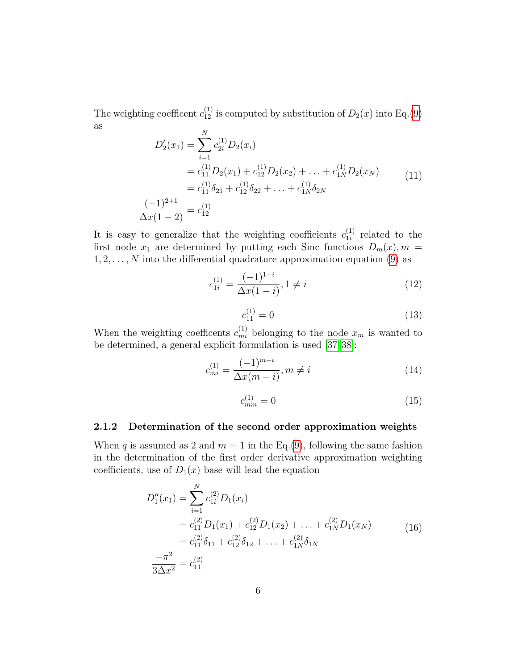The weighting coefficent  $c_{12}^{(1)}$  is computed by substitution of  $D_2(x)$  into Eq.[\(9\)](#page-4-0) as

$$
D'_{2}(x_{1}) = \sum_{i=1}^{N} c_{2i}^{(1)} D_{2}(x_{i})
$$
  
\n
$$
= c_{11}^{(1)} D_{2}(x_{1}) + c_{12}^{(1)} D_{2}(x_{2}) + \dots + c_{1N}^{(1)} D_{2}(x_{N})
$$
  
\n
$$
= c_{11}^{(1)} \delta_{21} + c_{12}^{(1)} \delta_{22} + \dots + c_{1N}^{(1)} \delta_{2N}
$$
  
\n
$$
\frac{(-1)^{2+1}}{\Delta x (1-2)} = c_{12}^{(1)}
$$
 (11)

It is easy to generalize that the weighting coefficients  $c_{1i}^{(1)}$  $\binom{1}{1i}$  related to the first node  $x_1$  are determined by putting each Sinc functions  $D_m(x)$ ,  $m =$  $1, 2, \ldots, N$  into the differential quadrature approximation equation [\(9\)](#page-4-0) as

$$
c_{1i}^{(1)} = \frac{(-1)^{1-i}}{\Delta x (1-i)}, 1 \neq i
$$
 (12)

$$
c_{11}^{(1)} = 0 \tag{13}
$$

When the weighting coefficents  $c_{mi}^{(1)}$  belonging to the node  $x_m$  is wanted to be determined, a general explicit formulation is used [\[37,](#page-21-6) [38\]](#page-21-8):

$$
c_{mi}^{(1)} = \frac{(-1)^{m-i}}{\Delta x (m-i)}, m \neq i
$$
\n(14)

$$
c_{mm}^{(1)} = 0 \tag{15}
$$

#### 2.1.2 Determination of the second order approximation weights

When q is assumed as 2 and  $m = 1$  in the Eq.[\(9\)](#page-4-0), following the same fashion in the determination of the first order derivative approximation weighting coefficients, use of  $D_1(x)$  base will lead the equation

$$
D_1''(x_1) = \sum_{i=1}^N c_{1i}^{(2)} D_1(x_i)
$$
  
=  $c_{11}^{(2)} D_1(x_1) + c_{12}^{(2)} D_1(x_2) + \dots + c_{1N}^{(2)} D_1(x_N)$   
=  $c_{11}^{(2)} \delta_{11} + c_{12}^{(2)} \delta_{12} + \dots + c_{1N}^{(2)} \delta_{1N}$   

$$
\frac{-\pi^2}{3\Delta x^2} = c_{11}^{(2)}
$$
 (16)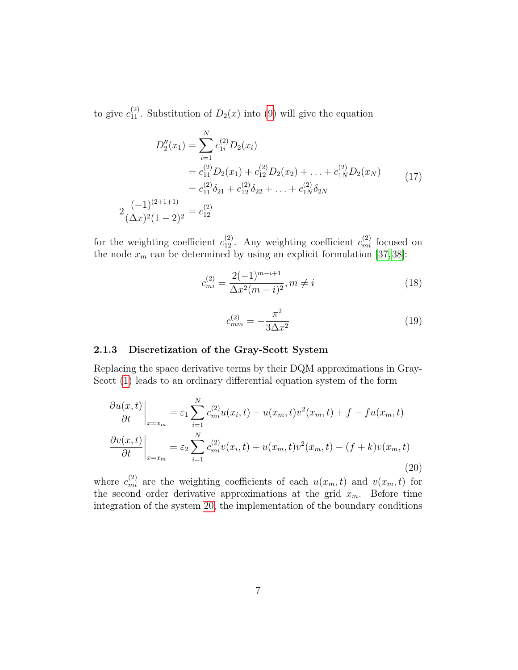to give  $c_{11}^{(2)}$ . Substitution of  $D_2(x)$  into [\(9\)](#page-4-0) will give the equation

$$
D_2''(x_1) = \sum_{i=1}^N c_{1i}^{(2)} D_2(x_i)
$$
  
=  $c_{11}^{(2)} D_2(x_1) + c_{12}^{(2)} D_2(x_2) + \dots + c_{1N}^{(2)} D_2(x_N)$   
=  $c_{11}^{(2)} \delta_{21} + c_{12}^{(2)} \delta_{22} + \dots + c_{1N}^{(2)} \delta_{2N}$   

$$
\frac{(-1)^{(2+1+1)}}{(\Delta x)^2 (1-2)^2} = c_{12}^{(2)}
$$
 (17)

for the weighting coefficient  $c_{12}^{(2)}$ . Any weighting coefficient  $c_{mi}^{(2)}$  focused on the node  $x_m$  can be determined by using an explicit formulation [\[37,](#page-21-6) [38\]](#page-21-8):

$$
c_{mi}^{(2)} = \frac{2(-1)^{m-i+1}}{\Delta x^2 (m-i)^2}, m \neq i
$$
\n(18)

<span id="page-6-0"></span>
$$
c_{mm}^{(2)} = -\frac{\pi^2}{3\Delta x^2} \tag{19}
$$

#### 2.1.3 Discretization of the Gray-Scott System

2

Replacing the space derivative terms by their DQM approximations in Gray-Scott [\(1\)](#page-1-0) leads to an ordinary differential equation system of the form

$$
\frac{\partial u(x,t)}{\partial t}\Big|_{x=x_m} = \varepsilon_1 \sum_{i=1}^N c_{mi}^{(2)} u(x_i,t) - u(x_m,t)v^2(x_m,t) + f - fu(x_m,t)
$$

$$
\frac{\partial v(x,t)}{\partial t}\Big|_{x=x_m} = \varepsilon_2 \sum_{i=1}^N c_{mi}^{(2)} v(x_i,t) + u(x_m,t)v^2(x_m,t) - (f+k)v(x_m,t)
$$
(20)

where  $c_{mi}^{(2)}$  are the weighting coefficients of each  $u(x_m, t)$  and  $v(x_m, t)$  for the second order derivative approximations at the grid  $x_m$ . Before time integration of the system [20,](#page-6-0) the implementation of the boundary conditions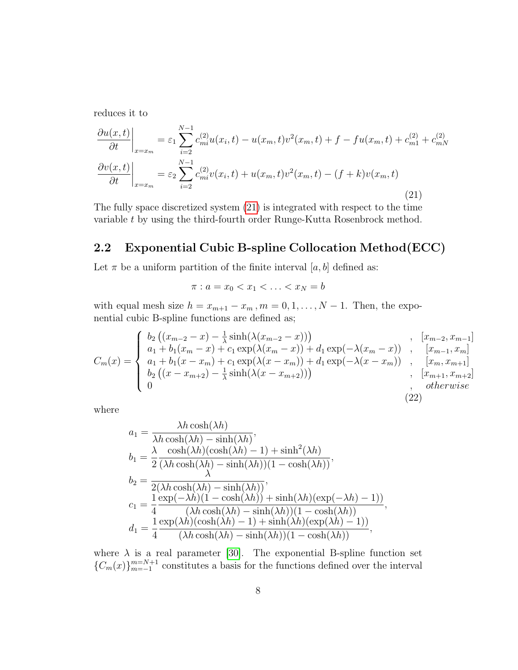<span id="page-7-0"></span>reduces it to

$$
\frac{\partial u(x,t)}{\partial t}\Big|_{x=x_m} = \varepsilon_1 \sum_{i=2}^{N-1} c_{mi}^{(2)} u(x_i,t) - u(x_m,t)v^2(x_m,t) + f - fu(x_m,t) + c_{m1}^{(2)} + c_{mN}^{(2)}
$$
\n
$$
\frac{\partial v(x,t)}{\partial t}\Big|_{x=x_m} = \varepsilon_2 \sum_{i=2}^{N-1} c_{mi}^{(2)} v(x_i,t) + u(x_m,t)v^2(x_m,t) - (f+k)v(x_m,t)
$$
\n(21)

The fully space discretized system [\(21\)](#page-7-0) is integrated with respect to the time variable t by using the third-fourth order Runge-Kutta Rosenbrock method.

#### 2.2 Exponential Cubic B-spline Collocation Method(ECC)

Let  $\pi$  be a uniform partition of the finite interval [a, b] defined as:

 $\pi : a = x_0 < x_1 < \ldots < x_N = b$ 

with equal mesh size  $h = x_{m+1} - x_m$ ,  $m = 0, 1, ..., N - 1$ . Then, the exponential cubic B-spline functions are defined as;

$$
C_m(x) = \begin{cases} b_2 ((x_{m-2} - x) - \frac{1}{\lambda} \sinh(\lambda(x_{m-2} - x))) & , [x_{m-2}, x_{m-1}] \\ a_1 + b_1 (x_m - x) + c_1 \exp(\lambda(x_m - x)) + d_1 \exp(-\lambda(x_m - x)) & , [x_{m-1}, x_m] \\ a_1 + b_1 (x - x_m) + c_1 \exp(\lambda(x - x_m)) + d_1 \exp(-\lambda(x - x_m)) & , [x_m, x_{m+1}] \\ b_2 ((x - x_{m+2}) - \frac{1}{\lambda} \sinh(\lambda(x - x_{m+2}))) & , [x_{m+1}, x_{m+2}] \\ 0 & , \text{otherwise} \end{cases}
$$

where

$$
a_1 = \frac{\lambda h \cosh(\lambda h)}{\lambda h \cosh(\lambda h) - \sinh(\lambda h)},
$$
  
\n
$$
b_1 = \frac{\lambda \cosh(\lambda h)(\cosh(\lambda h) - 1) + \sinh^2(\lambda h)}{2(\lambda h \cosh(\lambda h) - \sinh(\lambda h))(1 - \cosh(\lambda h))},
$$
  
\n
$$
b_2 = \frac{\lambda}{2(\lambda h \cosh(\lambda h) - \sinh(\lambda h))},
$$
  
\n
$$
c_1 = \frac{1}{4} \frac{\exp(-\lambda h)(1 - \cosh(\lambda h)) + \sinh(\lambda h)(\exp(-\lambda h) - 1)}{(\lambda h \cosh(\lambda h) - \sinh(\lambda h))(1 - \cosh(\lambda h))},
$$
  
\n
$$
d_1 = \frac{1}{4} \frac{\exp(\lambda h)(\cosh(\lambda h) - 1) + \sinh(\lambda h)(\exp(\lambda h) - 1)}{(\lambda h \cosh(\lambda h) - \sinh(\lambda h))(1 - \cosh(\lambda h))},
$$

where  $\lambda$  is a real parameter [\[30\]](#page-21-0). The exponential B-spline function set  ${C_m(x)}_{m=-1}^{m=N+1}$  constitutes a basis for the functions defined over the interval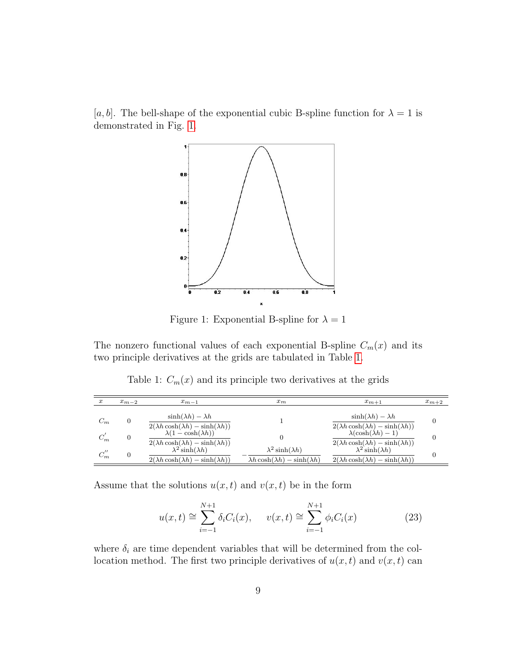<span id="page-8-0"></span>[a, b]. The bell-shape of the exponential cubic B-spline function for  $\lambda = 1$  is demonstrated in Fig. [1.](#page-8-0)



Figure 1: Exponential B-spline for  $\lambda = 1$ 

The nonzero functional values of each exponential B-spline  $C_m(x)$  and its two principle derivatives at the grids are tabulated in Table [1.](#page-8-1)

Table 1:  $C_m(x)$  and its principle two derivatives at the grids

<span id="page-8-1"></span>

| $\boldsymbol{x}$ | $x_{m-2}$      | $x_{m-1}$                                                                             | $x_m$                                                                              | $x_{m+1}$                                                                             | $x_{m+2}$ |
|------------------|----------------|---------------------------------------------------------------------------------------|------------------------------------------------------------------------------------|---------------------------------------------------------------------------------------|-----------|
| $C_m$            |                | $\sinh(\lambda h) - \lambda h$<br>$2(\lambda h \cosh(\lambda h) - \sinh(\lambda h))$  |                                                                                    | $\sinh(\lambda h) - \lambda h$<br>$2(\lambda h \cosh(\lambda h) - \sinh(\lambda h))$  | $\theta$  |
| $C_{\bm{m}}$     | $\overline{0}$ | $\lambda(1-\cosh(\lambda h))$<br>$2(\lambda h \cosh(\lambda h) - \sinh(\lambda h))$   |                                                                                    | $\lambda(\cosh(\lambda h) - 1)$<br>$2(\lambda h \cosh(\lambda h) - \sinh(\lambda h))$ | 0         |
| $C_m$            |                | $\lambda^2$ sinh( $\lambda h$ )<br>$2(\lambda h \cosh(\lambda h) - \sinh(\lambda h))$ | $\lambda^2$ sinh( $\lambda h$ )<br>$\lambda h \cosh(\lambda h) - \sinh(\lambda h)$ | $\lambda^2$ sinh( $\lambda h$ )<br>$2(\lambda h \cosh(\lambda h) - \sinh(\lambda h))$ | $\Omega$  |

Assume that the solutions  $u(x, t)$  and  $v(x, t)$  be in the form

<span id="page-8-2"></span>
$$
u(x,t) \cong \sum_{i=-1}^{N+1} \delta_i C_i(x), \qquad v(x,t) \cong \sum_{i=-1}^{N+1} \phi_i C_i(x) \tag{23}
$$

where  $\delta_i$  are time dependent variables that will be determined from the collocation method. The first two principle derivatives of  $u(x, t)$  and  $v(x, t)$  can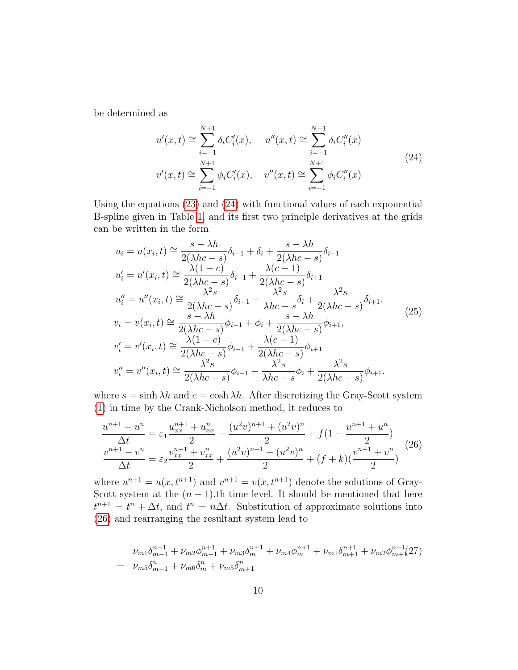be determined as

<span id="page-9-0"></span>
$$
u'(x,t) \cong \sum_{i=-1}^{N+1} \delta_i C'_i(x), \quad u''(x,t) \cong \sum_{i=-1}^{N+1} \delta_i C''_i(x)
$$
  

$$
v'(x,t) \cong \sum_{i=-1}^{N+1} \phi_i C'_i(x), \quad v''(x,t) \cong \sum_{i=-1}^{N+1} \phi_i C''_i(x)
$$
 (24)

Using the equations [\(23\)](#page-8-2) and [\(24\)](#page-9-0) with functional values of each exponential B-spline given in Table [1,](#page-8-1) and its first two principle derivatives at the grids can be written in the form

$$
u_i = u(x_i, t) \approx \frac{s - \lambda h}{2(\lambda hc - s)} \delta_{i-1} + \delta_i + \frac{s - \lambda h}{2(\lambda hc - s)} \delta_{i+1}
$$
  
\n
$$
u'_i = u'(x_i, t) \approx \frac{\lambda(1 - c)}{2(\lambda hc - s)} \delta_{i-1} + \frac{\lambda(c - 1)}{2(\lambda hc - s)} \delta_{i+1}
$$
  
\n
$$
u''_i = u''(x_i, t) \approx \frac{\lambda^2 s}{2(\lambda hc - s)} \delta_{i-1} - \frac{\lambda^2 s}{\lambda hc - s} \delta_i + \frac{\lambda^2 s}{2(\lambda hc - s)} \delta_{i+1}.
$$
  
\n
$$
v_i = v(x_i, t) \approx \frac{s - \lambda h}{2(\lambda hc - s)} \phi_{i-1} + \phi_i + \frac{s - \lambda h}{2(\lambda hc - s)} \phi_{i+1},
$$
  
\n
$$
v'_i = v'(x_i, t) \approx \frac{\lambda(1 - c)}{2(\lambda hc - s)} \phi_{i-1} + \frac{\lambda(c - 1)}{2(\lambda hc - s)} \phi_{i+1}
$$
  
\n
$$
v''_i = v''(x_i, t) \approx \frac{\lambda^2 s}{2(\lambda hc - s)} \phi_{i-1} - \frac{\lambda^2 s}{\lambda hc - s} \phi_i + \frac{\lambda^2 s}{2(\lambda hc - s)} \phi_{i+1}.
$$
  
\n(25)

where  $s = \sinh \lambda h$  and  $c = \cosh \lambda h$ . After discretizing the Gray-Scott system [\(1\)](#page-1-0) in time by the Crank-Nicholson method, it reduces to

<span id="page-9-1"></span>
$$
\frac{u^{n+1} - u^n}{\Delta t} = \varepsilon_1 \frac{u_{xx}^{n+1} + u_{xx}^n}{2} - \frac{(u^2 v)^{n+1} + (u^2 v)^n}{2} + f(1 - \frac{u^{n+1} + u^n}{2})
$$
  

$$
\frac{v^{n+1} - v^n}{\Delta t} = \varepsilon_2 \frac{v_{xx}^{n+1} + v_{xx}^n}{2} + \frac{(u^2 v)^{n+1} + (u^2 v)^n}{2} + (f + k)\left(\frac{v^{n+1} + v^n}{2}\right)
$$
 (26)

where  $u^{n+1} = u(x, t^{n+1})$  and  $v^{n+1} = v(x, t^{n+1})$  denote the solutions of Gray-Scott system at the  $(n + 1)$ .th time level. It should be mentioned that here  $t^{n+1} = t^n + \Delta t$ , and  $t^n = n\Delta t$ . Substitution of approximate solutions into [\(26\)](#page-9-1) and rearranging the resultant system lead to

<span id="page-9-2"></span>
$$
\nu_{m1}\delta_{m-1}^{n+1} + \nu_{m2}\phi_{m-1}^{n+1} + \nu_{m3}\delta_m^{n+1} + \nu_{m4}\phi_m^{n+1} + \nu_{m1}\delta_{m+1}^{n+1} + \nu_{m2}\phi_{m+1}^{n+1}(27)
$$
  
= 
$$
\nu_{m5}\delta_{m-1}^n + \nu_{m6}\delta_m^n + \nu_{m5}\delta_{m+1}^n
$$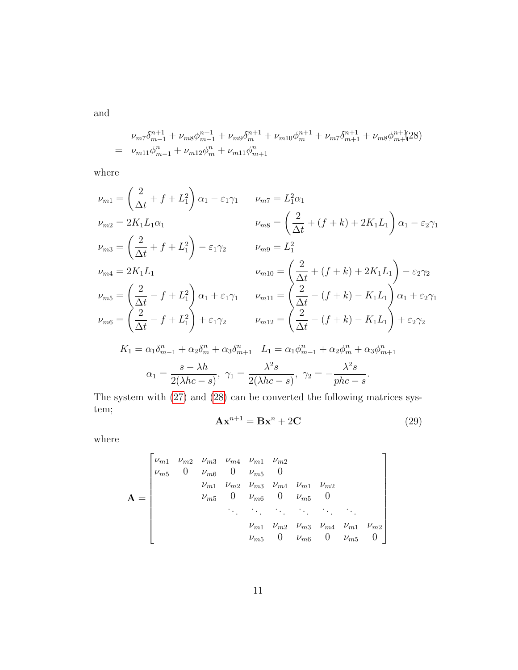and

<span id="page-10-0"></span>
$$
\nu_{m7}\delta_{m-1}^{n+1} + \nu_{m8}\phi_{m-1}^{n+1} + \nu_{m9}\delta_m^{n+1} + \nu_{m10}\phi_m^{n+1} + \nu_{m7}\delta_{m+1}^{n+1} + \nu_{m8}\phi_{m+1}^{n+1}28)
$$
  
= 
$$
\nu_{m11}\phi_{m-1}^n + \nu_{m12}\phi_m^n + \nu_{m11}\phi_{m+1}^n
$$

where

$$
\nu_{m1} = \left(\frac{2}{\Delta t} + f + L_1^2\right) \alpha_1 - \varepsilon_1 \gamma_1 \qquad \nu_{m7} = L_1^2 \alpha_1
$$
\n
$$
\nu_{m2} = 2K_1 L_1 \alpha_1 \qquad \nu_{m8} = \left(\frac{2}{\Delta t} + (f + k) + 2K_1 L_1\right) \alpha_1 - \varepsilon_2 \gamma_1
$$
\n
$$
\nu_{m3} = \left(\frac{2}{\Delta t} + f + L_1^2\right) - \varepsilon_1 \gamma_2 \qquad \nu_{m9} = L_1^2
$$
\n
$$
\nu_{m4} = 2K_1 L_1 \qquad \nu_{m10} = \left(\frac{2}{\Delta t} + (f + k) + 2K_1 L_1\right) - \varepsilon_2 \gamma_2
$$
\n
$$
\nu_{m5} = \left(\frac{2}{\Delta t} - f + L_1^2\right) \alpha_1 + \varepsilon_1 \gamma_1 \qquad \nu_{m11} = \left(\frac{2}{\Delta t} - (f + k) - K_1 L_1\right) \alpha_1 + \varepsilon_2 \gamma_1
$$
\n
$$
\nu_{m6} = \left(\frac{2}{\Delta t} - f + L_1^2\right) + \varepsilon_1 \gamma_2 \qquad \nu_{m12} = \left(\frac{2}{\Delta t} - (f + k) - K_1 L_1\right) + \varepsilon_2 \gamma_2
$$
\n
$$
K_1 = \alpha_1 \delta_{m-1}^n + \alpha_2 \delta_m^n + \alpha_3 \delta_{m+1}^n \qquad L_1 = \alpha_1 \phi_{m-1}^n + \alpha_2 \phi_m^n + \alpha_3 \phi_{m+1}^n
$$
\n
$$
\alpha_1 = \frac{s - \lambda h}{2(\lambda h c - s)}, \quad \gamma_1 = \frac{\lambda^2 s}{2(\lambda h c - s)}, \quad \gamma_2 = -\frac{\lambda^2 s}{ph c - s}.
$$

<span id="page-10-1"></span>The system with [\(27\)](#page-9-2) and [\(28\)](#page-10-0) can be converted the following matrices system;

$$
\mathbf{A}\mathbf{x}^{n+1} = \mathbf{B}\mathbf{x}^n + 2\mathbf{C} \tag{29}
$$

where

$$
\mathbf{A} = \begin{bmatrix} \nu_{m1} & \nu_{m2} & \nu_{m3} & \nu_{m4} & \nu_{m1} & \nu_{m2} \\ \nu_{m5} & 0 & \nu_{m6} & 0 & \nu_{m5} & 0 \\ & \nu_{m1} & \nu_{m2} & \nu_{m3} & \nu_{m4} & \nu_{m1} & \nu_{m2} \\ & \nu_{m5} & 0 & \nu_{m6} & 0 & \nu_{m5} & 0 \\ & & \ddots & \ddots & \ddots & \ddots & \ddots \\ & & & \nu_{m1} & \nu_{m2} & \nu_{m3} & \nu_{m4} & \nu_{m1} & \nu_{m2} \\ & & & \nu_{m5} & 0 & \nu_{m6} & 0 & \nu_{m5} & 0 \end{bmatrix}
$$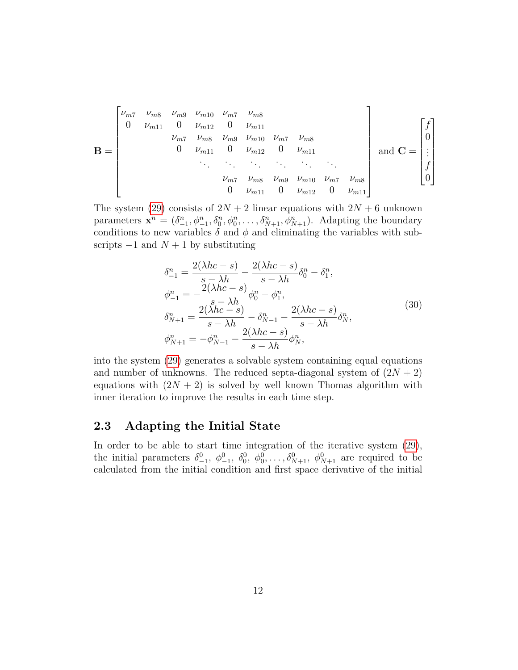$$
\mathbf{B} = \begin{bmatrix} \nu_{m7} & \nu_{m8} & \nu_{m9} & \nu_{m10} & \nu_{m7} & \nu_{m8} \\ 0 & \nu_{m11} & 0 & \nu_{m12} & 0 & \nu_{m11} \\ & \nu_{m7} & \nu_{m8} & \nu_{m9} & \nu_{m10} & \nu_{m7} & \nu_{m8} \\ & & 0 & \nu_{m11} & 0 & \nu_{m12} & 0 & \nu_{m11} \\ & & & \ddots & \ddots & \ddots & \ddots & \ddots \\ & & & & \nu_{m7} & \nu_{m8} & \nu_{m9} & \nu_{m10} & \nu_{m7} & \nu_{m8} \\ & & & 0 & \nu_{m11} & 0 & \nu_{m12} & 0 & \nu_{m11} \end{bmatrix} \text{ and } \mathbf{C} = \begin{bmatrix} f \\ 0 \\ \vdots \\ f \\ 0 \end{bmatrix}
$$

The system [\(29\)](#page-10-1) consists of  $2N + 2$  linear equations with  $2N + 6$  unknown parameters  $\mathbf{x}^n = (\delta_{-1}^n, \phi_{-1}^n, \delta_0^n, \phi_0^n, \dots, \delta_{N+1}^n, \phi_{N+1}^n)$ . Adapting the boundary conditions to new variables  $\delta$  and  $\phi$  and eliminating the variables with subscripts  $-1$  and  $N + 1$  by substituting

$$
\delta_{-1}^{n} = \frac{2(\lambda hc - s)}{s - \lambda h} - \frac{2(\lambda hc - s)}{s - \lambda h} \delta_{0}^{n} - \delta_{1}^{n}, \n\phi_{-1}^{n} = -\frac{2(\lambda hc - s)}{s - \lambda h} \phi_{0}^{n} - \phi_{1}^{n}, \n\delta_{N+1}^{n} = \frac{2(\lambda hc - s)}{s - \lambda h} - \delta_{N-1}^{n} - \frac{2(\lambda hc - s)}{s - \lambda h} \delta_{N}^{n}, \n\phi_{N+1}^{n} = -\phi_{N-1}^{n} - \frac{2(\lambda hc - s)}{s - \lambda h} \phi_{N}^{n},
$$
\n(30)

into the system [\(29\)](#page-10-1) generates a solvable system containing equal equations and number of unknowns. The reduced septa-diagonal system of  $(2N + 2)$ equations with  $(2N + 2)$  is solved by well known Thomas algorithm with inner iteration to improve the results in each time step.

#### 2.3 Adapting the Initial State

In order to be able to start time integration of the iterative system [\(29\)](#page-10-1), the initial parameters  $\delta^0_{-1}$ ,  $\phi^0_{-1}$ ,  $\delta^0_0$ ,  $\phi^0_0, \ldots, \delta^0_{N+1}$ ,  $\phi^0_{N+1}$  are required to be calculated from the initial condition and first space derivative of the initial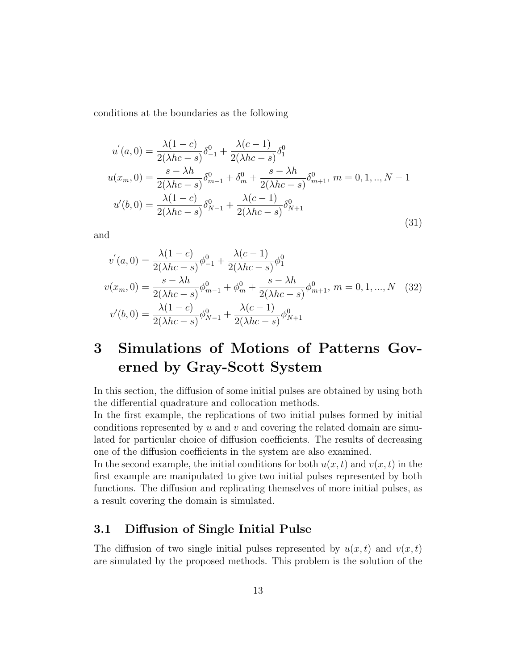conditions at the boundaries as the following

$$
u'(a,0) = \frac{\lambda(1-c)}{2(\lambda hc - s)} \delta_{-1}^{0} + \frac{\lambda(c-1)}{2(\lambda hc - s)} \delta_{1}^{0}
$$
  

$$
u(x_m,0) = \frac{s - \lambda h}{2(\lambda hc - s)} \delta_{m-1}^{0} + \delta_{m}^{0} + \frac{s - \lambda h}{2(\lambda hc - s)} \delta_{m+1}^{0}, m = 0, 1, ..., N - 1
$$
  

$$
u'(b,0) = \frac{\lambda(1-c)}{2(\lambda hc - s)} \delta_{N-1}^{0} + \frac{\lambda(c-1)}{2(\lambda hc - s)} \delta_{N+1}^{0}
$$
 (31)

and

$$
v'(a,0) = \frac{\lambda(1-c)}{2(\lambda hc - s)} \phi_{-1}^{0} + \frac{\lambda(c-1)}{2(\lambda hc - s)} \phi_{1}^{0}
$$
  

$$
v(x_m,0) = \frac{s - \lambda h}{2(\lambda hc - s)} \phi_{m-1}^{0} + \phi_{m}^{0} + \frac{s - \lambda h}{2(\lambda hc - s)} \phi_{m+1}^{0}, \ m = 0, 1, ..., N \quad (32)
$$
  

$$
v'(b,0) = \frac{\lambda(1-c)}{2(\lambda hc - s)} \phi_{N-1}^{0} + \frac{\lambda(c-1)}{2(\lambda hc - s)} \phi_{N+1}^{0}
$$

## 3 Simulations of Motions of Patterns Governed by Gray-Scott System

In this section, the diffusion of some initial pulses are obtained by using both the differential quadrature and collocation methods.

In the first example, the replications of two initial pulses formed by initial conditions represented by  $u$  and  $v$  and covering the related domain are simulated for particular choice of diffusion coefficients. The results of decreasing one of the diffusion coefficients in the system are also examined.

In the second example, the initial conditions for both  $u(x, t)$  and  $v(x, t)$  in the first example are manipulated to give two initial pulses represented by both functions. The diffusion and replicating themselves of more initial pulses, as a result covering the domain is simulated.

#### 3.1 Diffusion of Single Initial Pulse

The diffusion of two single initial pulses represented by  $u(x, t)$  and  $v(x, t)$ are simulated by the proposed methods. This problem is the solution of the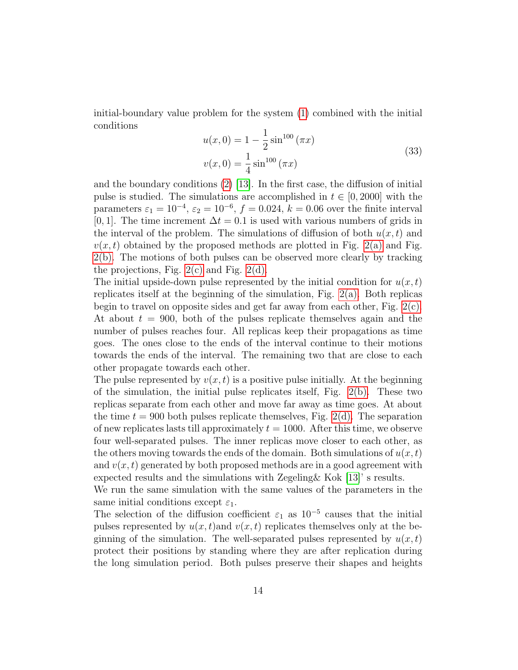<span id="page-13-0"></span>initial-boundary value problem for the system [\(1\)](#page-1-0) combined with the initial conditions

$$
u(x, 0) = 1 - \frac{1}{2} \sin^{100} (\pi x)
$$
  

$$
v(x, 0) = \frac{1}{4} \sin^{100} (\pi x)
$$
 (33)

and the boundary conditions  $(2)$  [\[13\]](#page-19-3). In the first case, the diffusion of initial pulse is studied. The simulations are accomplished in  $t \in [0, 2000]$  with the parameters  $\varepsilon_1 = 10^{-4}$ ,  $\varepsilon_2 = 10^{-6}$ ,  $f = 0.024$ ,  $k = 0.06$  over the finite interval [0, 1]. The time increment  $\Delta t = 0.1$  is used with various numbers of grids in the interval of the problem. The simulations of diffusion of both  $u(x, t)$  and  $v(x, t)$  obtained by the proposed methods are plotted in Fig. [2\(a\)](#page-14-0) and Fig. [2\(b\).](#page-14-1) The motions of both pulses can be observed more clearly by tracking the projections, Fig.  $2(c)$  and Fig.  $2(d)$ .

The initial upside-down pulse represented by the initial condition for  $u(x, t)$ replicates itself at the beginning of the simulation, Fig. [2\(a\).](#page-14-0) Both replicas begin to travel on opposite sides and get far away from each other, Fig. [2\(c\).](#page-14-2) At about  $t = 900$ , both of the pulses replicate themselves again and the number of pulses reaches four. All replicas keep their propagations as time goes. The ones close to the ends of the interval continue to their motions towards the ends of the interval. The remaining two that are close to each other propagate towards each other.

The pulse represented by  $v(x, t)$  is a positive pulse initially. At the beginning of the simulation, the initial pulse replicates itself, Fig.  $2(b)$ . These two replicas separate from each other and move far away as time goes. At about the time  $t = 900$  both pulses replicate themselves, Fig. [2\(d\).](#page-14-3) The separation of new replicates lasts till approximately  $t = 1000$ . After this time, we observe four well-separated pulses. The inner replicas move closer to each other, as the others moving towards the ends of the domain. Both simulations of  $u(x, t)$ and  $v(x, t)$  generated by both proposed methods are in a good agreement with expected results and the simulations with Zegeling& Kok [\[13\]](#page-19-3)' s results.

We run the same simulation with the same values of the parameters in the same initial conditions except  $\varepsilon_1$ .

The selection of the diffusion coefficient  $\varepsilon_1$  as  $10^{-5}$  causes that the initial pulses represented by  $u(x, t)$  and  $v(x, t)$  replicates themselves only at the beginning of the simulation. The well-separated pulses represented by  $u(x, t)$ protect their positions by standing where they are after replication during the long simulation period. Both pulses preserve their shapes and heights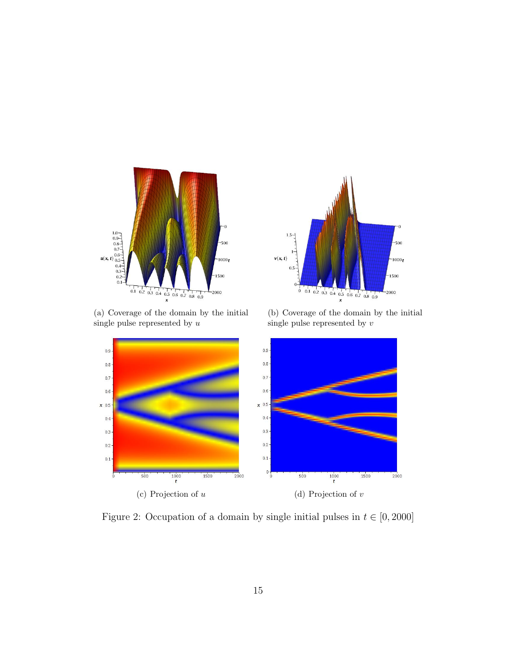<span id="page-14-0"></span>

 $1.5 -$ -500  $v(x, t)$  $-1000t$  $\overline{0}$ 1500  $\boldsymbol{0}$  $-2000$ 

(a) Coverage of the domain by the initial single pulse represented by  $u$ 

<span id="page-14-1"></span>



<span id="page-14-3"></span><span id="page-14-2"></span>Figure 2: Occupation of a domain by single initial pulses in  $t \in [0, 2000]$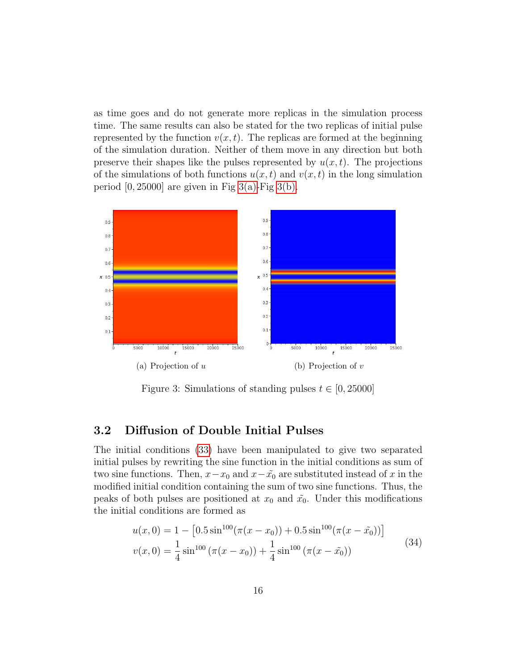as time goes and do not generate more replicas in the simulation process time. The same results can also be stated for the two replicas of initial pulse represented by the function  $v(x, t)$ . The replicas are formed at the beginning of the simulation duration. Neither of them move in any direction but both preserve their shapes like the pulses represented by  $u(x, t)$ . The projections of the simulations of both functions  $u(x, t)$  and  $v(x, t)$  in the long simulation period  $[0, 25000]$  are given in Fig [3\(a\)-](#page-15-0)Fig [3\(b\).](#page-15-1)

<span id="page-15-0"></span>

<span id="page-15-1"></span>Figure 3: Simulations of standing pulses  $t \in [0, 25000]$ 

#### 3.2 Diffusion of Double Initial Pulses

The initial conditions [\(33\)](#page-13-0) have been manipulated to give two separated initial pulses by rewriting the sine function in the initial conditions as sum of two sine functions. Then,  $x-x_0$  and  $x-\tilde{x_0}$  are substituted instead of x in the modified initial condition containing the sum of two sine functions. Thus, the peaks of both pulses are positioned at  $x_0$  and  $\tilde{x_0}$ . Under this modifications the initial conditions are formed as

$$
u(x,0) = 1 - [0.5 \sin^{100}(\pi(x - x_0)) + 0.5 \sin^{100}(\pi(x - \tilde{x_0}))]
$$
  

$$
v(x,0) = \frac{1}{4} \sin^{100}(\pi(x - x_0)) + \frac{1}{4} \sin^{100}(\pi(x - \tilde{x_0}))
$$
 (34)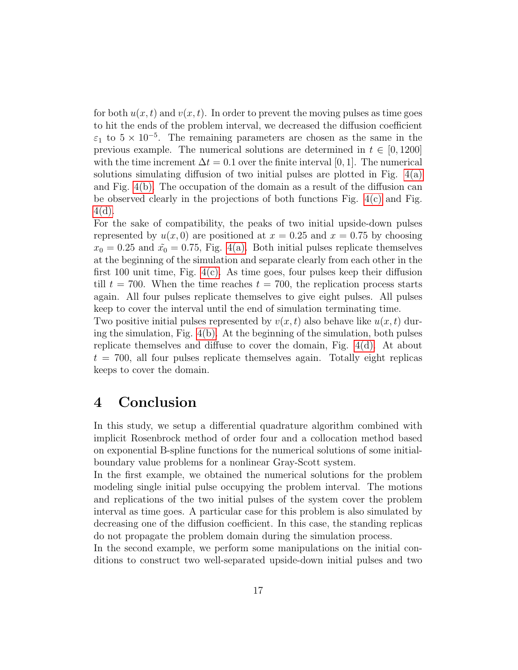for both  $u(x, t)$  and  $v(x, t)$ . In order to prevent the moving pulses as time goes to hit the ends of the problem interval, we decreased the diffusion coefficient  $\varepsilon_1$  to  $5 \times 10^{-5}$ . The remaining parameters are chosen as the same in the previous example. The numerical solutions are determined in  $t \in [0, 1200]$ with the time increment  $\Delta t = 0.1$  over the finite interval [0, 1]. The numerical solutions simulating diffusion of two initial pulses are plotted in Fig. [4\(a\)](#page-17-0) and Fig. [4\(b\).](#page-17-1) The occupation of the domain as a result of the diffusion can be observed clearly in the projections of both functions Fig.  $4(c)$  and Fig. [4\(d\).](#page-17-3)

For the sake of compatibility, the peaks of two initial upside-down pulses represented by  $u(x, 0)$  are positioned at  $x = 0.25$  and  $x = 0.75$  by choosing  $x_0 = 0.25$  and  $\tilde{x_0} = 0.75$ , Fig. [4\(a\).](#page-17-0) Both initial pulses replicate themselves at the beginning of the simulation and separate clearly from each other in the first 100 unit time, Fig.  $4(c)$ . As time goes, four pulses keep their diffusion till  $t = 700$ . When the time reaches  $t = 700$ , the replication process starts again. All four pulses replicate themselves to give eight pulses. All pulses keep to cover the interval until the end of simulation terminating time.

Two positive initial pulses represented by  $v(x, t)$  also behave like  $u(x, t)$  during the simulation, Fig. [4\(b\).](#page-17-1) At the beginning of the simulation, both pulses replicate themselves and diffuse to cover the domain, Fig. [4\(d\).](#page-17-3) At about  $t = 700$ , all four pulses replicate themselves again. Totally eight replicas keeps to cover the domain.

### 4 Conclusion

In this study, we setup a differential quadrature algorithm combined with implicit Rosenbrock method of order four and a collocation method based on exponential B-spline functions for the numerical solutions of some initialboundary value problems for a nonlinear Gray-Scott system.

In the first example, we obtained the numerical solutions for the problem modeling single initial pulse occupying the problem interval. The motions and replications of the two initial pulses of the system cover the problem interval as time goes. A particular case for this problem is also simulated by decreasing one of the diffusion coefficient. In this case, the standing replicas do not propagate the problem domain during the simulation process.

In the second example, we perform some manipulations on the initial conditions to construct two well-separated upside-down initial pulses and two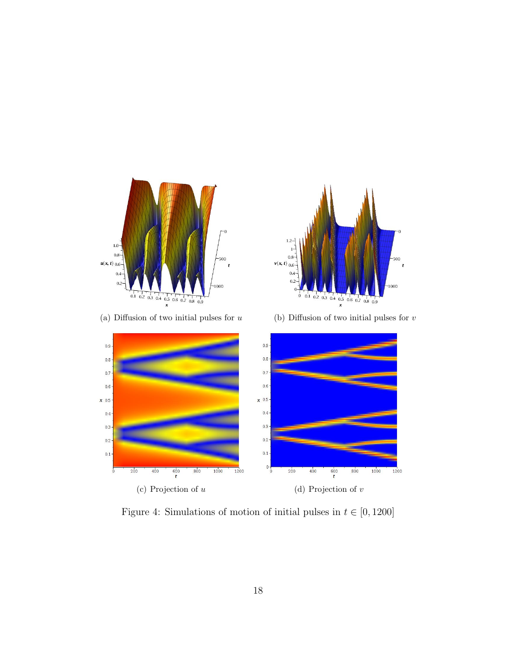<span id="page-17-0"></span>

<span id="page-17-1"></span>

(a) Diffusion of two initial pulses for  $u$  (b) Diffusion of two initial pulses for  $v$ 



<span id="page-17-3"></span><span id="page-17-2"></span>Figure 4: Simulations of motion of initial pulses in  $t \in [0, 1200]$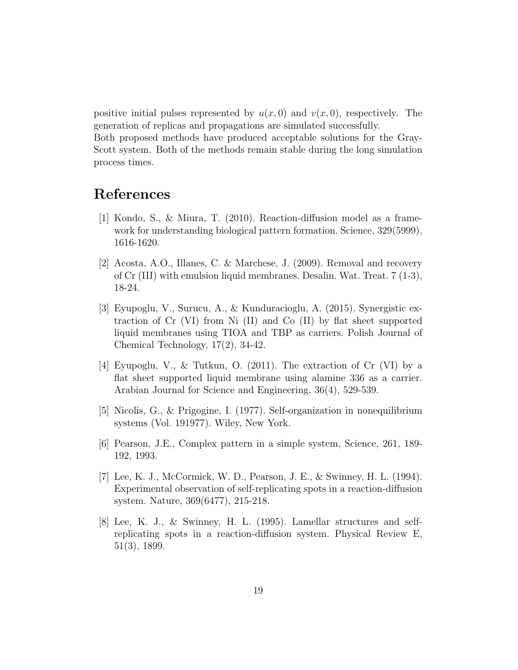positive initial pulses represented by  $u(x, 0)$  and  $v(x, 0)$ , respectively. The generation of replicas and propagations are simulated successfully.

Both proposed methods have produced acceptable solutions for the Gray-Scott system. Both of the methods remain stable during the long simulation process times.

### References

- <span id="page-18-0"></span>[1] Kondo, S., & Miura, T. (2010). Reaction-diffusion model as a framework for understanding biological pattern formation. Science, 329(5999), 1616-1620.
- [2] Acosta, A.O., Illanes, C. & Marchese, J. (2009). Removal and recovery of Cr (III) with emulsion liquid membranes. Desalin. Wat. Treat. 7 (1-3), 18-24.
- [3] Eyupoglu, V., Surucu, A., & Kunduracioglu, A. (2015). Synergistic extraction of Cr (VI) from Ni (II) and Co (II) by flat sheet supported liquid membranes using TIOA and TBP as carriers. Polish Journal of Chemical Technology, 17(2), 34-42.
- [4] Eyupoglu, V., & Tutkun, O. (2011). The extraction of Cr (VI) by a flat sheet supported liquid membrane using alamine 336 as a carrier. Arabian Journal for Science and Engineering, 36(4), 529-539.
- <span id="page-18-1"></span>[5] Nicolis, G., & Prigogine, I. (1977). Self-organization in nonequilibrium systems (Vol. 191977). Wiley, New York.
- <span id="page-18-2"></span>[6] Pearson, J.E., Complex pattern in a simple system, Science, 261, 189- 192, 1993.
- <span id="page-18-3"></span>[7] Lee, K. J., McCormick, W. D., Pearson, J. E., & Swinney, H. L. (1994). Experimental observation of self-replicating spots in a reaction-diffusion system. Nature, 369(6477), 215-218.
- [8] Lee, K. J., & Swinney, H. L. (1995). Lamellar structures and selfreplicating spots in a reaction-diffusion system. Physical Review E, 51(3), 1899.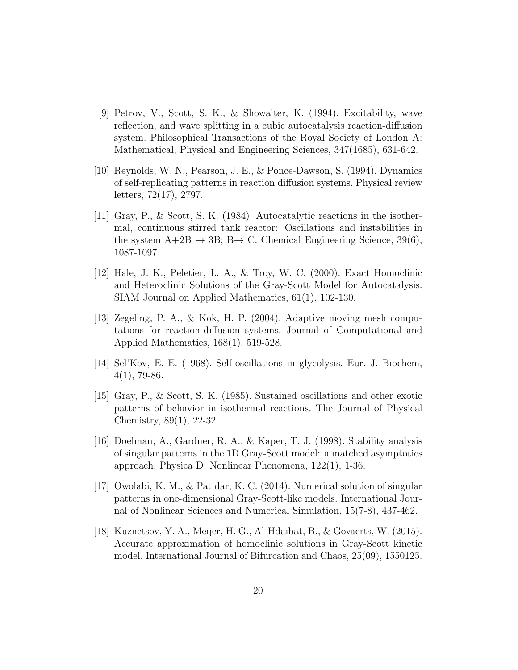- [9] Petrov, V., Scott, S. K., & Showalter, K. (1994). Excitability, wave reflection, and wave splitting in a cubic autocatalysis reaction-diffusion system. Philosophical Transactions of the Royal Society of London A: Mathematical, Physical and Engineering Sciences, 347(1685), 631-642.
- <span id="page-19-0"></span>[10] Reynolds, W. N., Pearson, J. E., & Ponce-Dawson, S. (1994). Dynamics of self-replicating patterns in reaction diffusion systems. Physical review letters, 72(17), 2797.
- <span id="page-19-1"></span>[11] Gray, P., & Scott, S. K. (1984). Autocatalytic reactions in the isothermal, continuous stirred tank reactor: Oscillations and instabilities in the system  $A+2B \rightarrow 3B$ ;  $B \rightarrow C$ . Chemical Engineering Science, 39(6), 1087-1097.
- <span id="page-19-2"></span>[12] Hale, J. K., Peletier, L. A., & Troy, W. C. (2000). Exact Homoclinic and Heteroclinic Solutions of the Gray-Scott Model for Autocatalysis. SIAM Journal on Applied Mathematics, 61(1), 102-130.
- <span id="page-19-3"></span>[13] Zegeling, P. A., & Kok, H. P. (2004). Adaptive moving mesh computations for reaction-diffusion systems. Journal of Computational and Applied Mathematics, 168(1), 519-528.
- <span id="page-19-4"></span>[14] Sel'Kov, E. E. (1968). Self-oscillations in glycolysis. Eur. J. Biochem,  $4(1)$ , 79-86.
- <span id="page-19-5"></span>[15] Gray, P., & Scott, S. K. (1985). Sustained oscillations and other exotic patterns of behavior in isothermal reactions. The Journal of Physical Chemistry, 89(1), 22-32.
- <span id="page-19-6"></span>[16] Doelman, A., Gardner, R. A., & Kaper, T. J. (1998). Stability analysis of singular patterns in the 1D Gray-Scott model: a matched asymptotics approach. Physica D: Nonlinear Phenomena, 122(1), 1-36.
- <span id="page-19-7"></span>[17] Owolabi, K. M., & Patidar, K. C. (2014). Numerical solution of singular patterns in one-dimensional Gray-Scott-like models. International Journal of Nonlinear Sciences and Numerical Simulation, 15(7-8), 437-462.
- [18] Kuznetsov, Y. A., Meijer, H. G., Al-Hdaibat, B., & Govaerts, W. (2015). Accurate approximation of homoclinic solutions in Gray-Scott kinetic model. International Journal of Bifurcation and Chaos, 25(09), 1550125.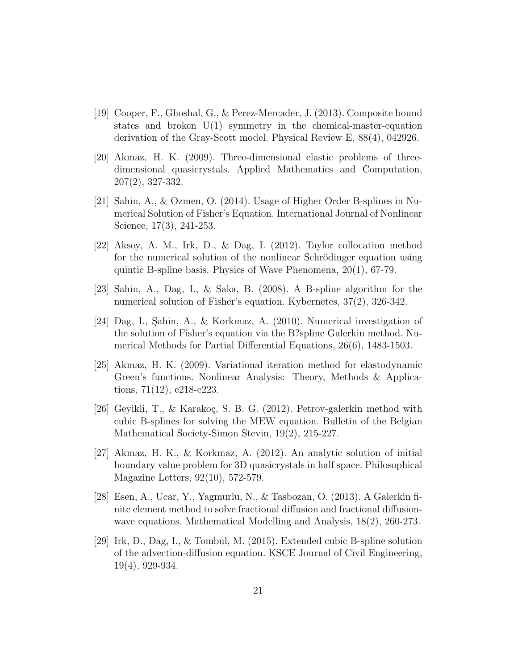- [19] Cooper, F., Ghoshal, G., & Perez-Mercader, J. (2013). Composite bound states and broken U(1) symmetry in the chemical-master-equation derivation of the Gray-Scott model. Physical Review E, 88(4), 042926.
- [20] Akmaz, H. K. (2009). Three-dimensional elastic problems of threedimensional quasicrystals. Applied Mathematics and Computation, 207(2), 327-332.
- [21] Sahin, A., & Ozmen, O. (2014). Usage of Higher Order B-splines in Numerical Solution of Fisher's Equation. International Journal of Nonlinear Science, 17(3), 241-253.
- [22] Aksoy, A. M., Irk, D., & Dag, I. (2012). Taylor collocation method for the numerical solution of the nonlinear Schrödinger equation using quintic B-spline basis. Physics of Wave Phenomena, 20(1), 67-79.
- [23] Sahin, A., Dag, I., & Saka, B. (2008). A B-spline algorithm for the numerical solution of Fisher's equation. Kybernetes, 37(2), 326-342.
- [24] Dag, I., Şahin, A., & Korkmaz, A. (2010). Numerical investigation of the solution of Fisher's equation via the B?spline Galerkin method. Numerical Methods for Partial Differential Equations, 26(6), 1483-1503.
- [25] Akmaz, H. K. (2009). Variational iteration method for elastodynamic Green's functions. Nonlinear Analysis: Theory, Methods & Applications, 71(12), e218-e223.
- [26] Geyikli, T., & Karakoç, S. B. G. (2012). Petrov-galerkin method with cubic B-splines for solving the MEW equation. Bulletin of the Belgian Mathematical Society-Simon Stevin, 19(2), 215-227.
- [27] Akmaz, H. K., & Korkmaz, A. (2012). An analytic solution of initial boundary value problem for 3D quasicrystals in half space. Philosophical Magazine Letters, 92(10), 572-579.
- <span id="page-20-0"></span>[28] Esen, A., Ucar, Y., Yagmurlu, N., & Tasbozan, O. (2013). A Galerkin finite element method to solve fractional diffusion and fractional diffusionwave equations. Mathematical Modelling and Analysis, 18(2), 260-273.
- <span id="page-20-1"></span>[29] Irk, D., Dag, I., & Tombul, M. (2015). Extended cubic B-spline solution of the advection-diffusion equation. KSCE Journal of Civil Engineering, 19(4), 929-934.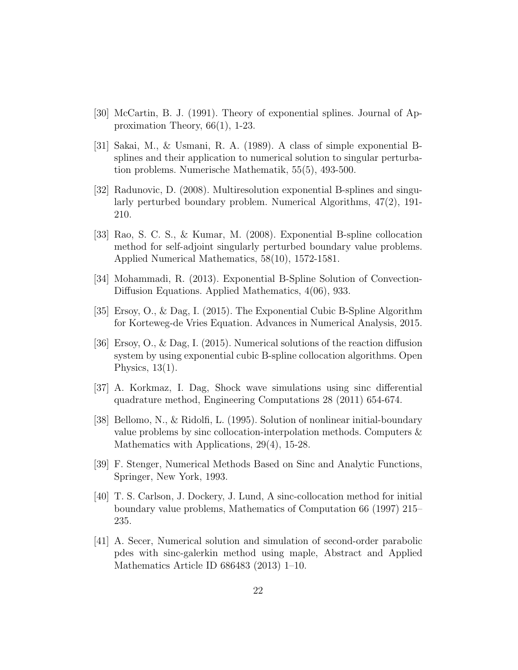- <span id="page-21-0"></span>[30] McCartin, B. J. (1991). Theory of exponential splines. Journal of Approximation Theory, 66(1), 1-23.
- <span id="page-21-1"></span>[31] Sakai, M., & Usmani, R. A. (1989). A class of simple exponential Bsplines and their application to numerical solution to singular perturbation problems. Numerische Mathematik, 55(5), 493-500.
- <span id="page-21-2"></span>[32] Radunovic, D. (2008). Multiresolution exponential B-splines and singularly perturbed boundary problem. Numerical Algorithms, 47(2), 191- 210.
- <span id="page-21-3"></span>[33] Rao, S. C. S., & Kumar, M. (2008). Exponential B-spline collocation method for self-adjoint singularly perturbed boundary value problems. Applied Numerical Mathematics, 58(10), 1572-1581.
- <span id="page-21-4"></span>[34] Mohammadi, R. (2013). Exponential B-Spline Solution of Convection-Diffusion Equations. Applied Mathematics, 4(06), 933.
- [35] Ersoy, O., & Dag, I. (2015). The Exponential Cubic B-Spline Algorithm for Korteweg-de Vries Equation. Advances in Numerical Analysis, 2015.
- <span id="page-21-5"></span>[36] Ersoy, O., & Dag, I. (2015). Numerical solutions of the reaction diffusion system by using exponential cubic B-spline collocation algorithms. Open Physics,  $13(1)$ .
- <span id="page-21-6"></span>[37] A. Korkmaz, I. Dag, Shock wave simulations using sinc differential quadrature method, Engineering Computations 28 (2011) 654-674.
- <span id="page-21-8"></span>[38] Bellomo, N., & Ridolfi, L. (1995). Solution of nonlinear initial-boundary value problems by sinc collocation-interpolation methods. Computers & Mathematics with Applications, 29(4), 15-28.
- <span id="page-21-7"></span>[39] F. Stenger, Numerical Methods Based on Sinc and Analytic Functions, Springer, New York, 1993.
- [40] T. S. Carlson, J. Dockery, J. Lund, A sinc-collocation method for initial boundary value problems, Mathematics of Computation 66 (1997) 215– 235.
- [41] A. Secer, Numerical solution and simulation of second-order parabolic pdes with sinc-galerkin method using maple, Abstract and Applied Mathematics Article ID 686483 (2013) 1–10.